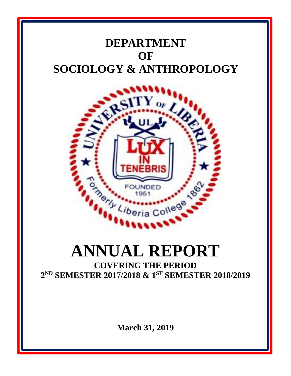# **DEPARTMENT OF SOCIOLOGY & ANTHROPOLOGY**



# **ANNUAL REPORT**

**COVERING THE PERIOD 2 ND SEMESTER 2017/2018 & 1 ST SEMESTER 2018/2019**

**March 31, 2019**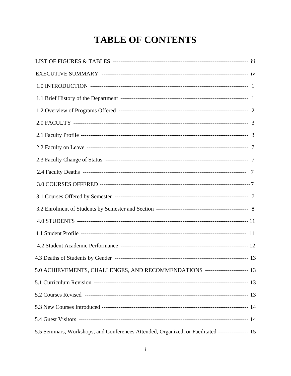# **TABLE OF CONTENTS**

| 5.0 ACHIEVEMENTS, CHALLENGES, AND RECOMMENDATIONS ---------------------- 13                      |  |
|--------------------------------------------------------------------------------------------------|--|
|                                                                                                  |  |
|                                                                                                  |  |
|                                                                                                  |  |
|                                                                                                  |  |
| 5.5 Seminars, Workshops, and Conferences Attended, Organized, or Facilitated ---------------- 15 |  |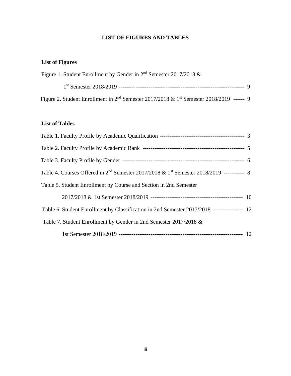# **LIST OF FIGURES AND TABLES**

# **List of Figures**

| Figure 1. Student Enrollment by Gender in $2nd$ Semester 2017/2018 &                                             |  |
|------------------------------------------------------------------------------------------------------------------|--|
|                                                                                                                  |  |
| Figure 2. Student Enrollment in 2 <sup>nd</sup> Semester 2017/2018 & 1 <sup>st</sup> Semester 2018/2019 ------ 9 |  |

# **List of Tables**

| Table 4. Courses Offered in 2 <sup>nd</sup> Semester 2017/2018 & 1 <sup>st</sup> Semester 2018/2019 ----------- 8 |  |
|-------------------------------------------------------------------------------------------------------------------|--|
| Table 5. Student Enrollment by Course and Section in 2nd Semester                                                 |  |
|                                                                                                                   |  |
| Table 6. Student Enrollment by Classification in 2nd Semester 2017/2018 ---------------- 12                       |  |
| Table 7. Student Enrollment by Gender in 2nd Semester 2017/2018 &                                                 |  |
|                                                                                                                   |  |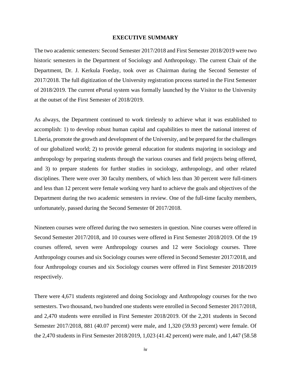#### **EXECUTIVE SUMMARY**

The two academic semesters: Second Semester 2017/2018 and First Semester 2018/2019 were two historic semesters in the Department of Sociology and Anthropology. The current Chair of the Department, Dr. J. Kerkula Foeday, took over as Chairman during the Second Semester of 2017/2018. The full digitization of the University registration process started in the First Semester of 2018/2019. The current ePortal system was formally launched by the Visitor to the University at the outset of the First Semester of 2018/2019.

As always, the Department continued to work tirelessly to achieve what it was established to accomplish: 1) to develop robust human capital and capabilities to meet the national interest of Liberia, promote the growth and development of the University, and be prepared for the challenges of our globalized world; 2) to provide general education for students majoring in sociology and anthropology by preparing students through the various courses and field projects being offered, and 3) to prepare students for further studies in sociology, anthropology, and other related disciplines. There were over 30 faculty members, of which less than 30 percent were full-timers and less than 12 percent were female working very hard to achieve the goals and objectives of the Department during the two academic semesters in review. One of the full-time faculty members, unfortunately, passed during the Second Semester 0f 2017/2018.

Nineteen courses were offered during the two semesters in question. Nine courses were offered in Second Semester 2017/2018, and 10 courses were offered in First Semester 2018/2019. Of the 19 courses offered, seven were Anthropology courses and 12 were Sociology courses. Three Anthropology courses and six Sociology courses were offered in Second Semester 2017/2018, and four Anthropology courses and six Sociology courses were offered in First Semester 2018/2019 respectively.

There were 4,671 students registered and doing Sociology and Anthropology courses for the two semesters. Two thousand, two hundred one students were enrolled in Second Semester 2017/2018, and 2,470 students were enrolled in First Semester 2018/2019. Of the 2,201 students in Second Semester 2017/2018, 881 (40.07 percent) were male, and 1,320 (59.93 percent) were female. Of the 2,470 students in First Semester 2018/2019, 1,023 (41.42 percent) were male, and 1,447 (58.58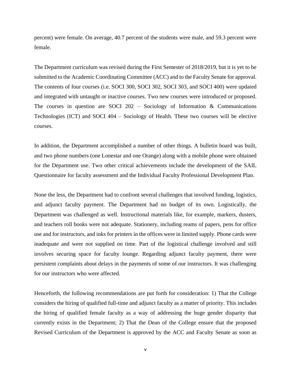percent) were female. On average, 40.7 percent of the students were male, and 59.3 percent were female.

The Department curriculum was revised during the First Semester of 2018/2019, but it is yet to be submitted to the Academic Coordinating Committee (ACC) and to the Faculty Senate for approval. The contents of four courses (i.e. SOCI 300, SOCI 302, SOCI 303, and SOCI 400) were updated and integrated with untaught or inactive courses. Two new courses were introduced or proposed. The courses in question are SOCI 202 – Sociology of Information  $\&$  Communications Technologies (ICT) and SOCI 404 – Sociology of Health. These two courses will be elective courses.

In addition, the Department accomplished a number of other things. A bulletin board was built, and two phone numbers (one Lonestar and one Orange) along with a mobile phone were obtained for the Department use. Two other critical achievements include the development of the SAIL Questionnaire for faculty assessment and the Individual Faculty Professional Development Plan.

None the less, the Department had to confront several challenges that involved funding, logistics, and adjunct faculty payment. The Department had no budget of its own. Logistically, the Department was challenged as well. Instructional materials like, for example, markers, dusters, and teachers roll books were not adequate. Stationery, including reams of papers, pens for office use and for instructors, and inks for printers in the offices were in limited supply. Phone cards were inadequate and were not supplied on time. Part of the logistical challenge involved and still involves securing space for faculty lounge. Regarding adjunct faculty payment, there were persistent complaints about delays in the payments of some of our instructors. It was challenging for our instructors who were affected.

Henceforth, the following recommendations are put forth for consideration: 1) That the College considers the hiring of qualified full-time and adjunct faculty as a matter of priority. This includes the hiring of qualified female faculty as a way of addressing the huge gender disparity that currently exists in the Department; 2) That the Dean of the College ensure that the proposed Revised Curriculum of the Department is approved by the ACC and Faculty Senate as soon as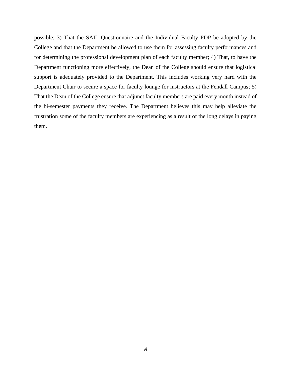possible; 3) That the SAIL Questionnaire and the Individual Faculty PDP be adopted by the College and that the Department be allowed to use them for assessing faculty performances and for determining the professional development plan of each faculty member; 4) That, to have the Department functioning more effectively, the Dean of the College should ensure that logistical support is adequately provided to the Department. This includes working very hard with the Department Chair to secure a space for faculty lounge for instructors at the Fendall Campus; 5) That the Dean of the College ensure that adjunct faculty members are paid every month instead of the bi-semester payments they receive. The Department believes this may help alleviate the frustration some of the faculty members are experiencing as a result of the long delays in paying them.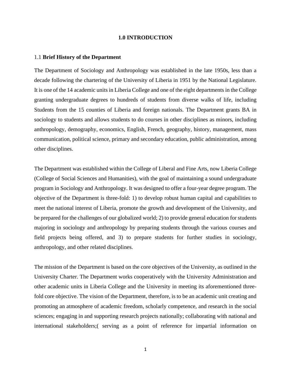#### **1.0 INTRODUCTION**

#### 1.1 **Brief History of the Department**

The Department of Sociology and Anthropology was established in the late 1950s, less than a decade following the chartering of the University of Liberia in 1951 by the National Legislature. It is one of the 14 academic units in Liberia College and one of the eight departments in the College granting undergraduate degrees to hundreds of students from diverse walks of life, including Students from the 15 counties of Liberia and foreign nationals. The Department grants BA in sociology to students and allows students to do courses in other disciplines as minors, including anthropology, demography, economics, English, French, geography, history, management, mass communication, political science, primary and secondary education, public administration, among other disciplines.

The Department was established within the College of Liberal and Fine Arts, now Liberia College (College of Social Sciences and Humanities), with the goal of maintaining a sound undergraduate program in Sociology and Anthropology. It was designed to offer a four-year degree program. The objective of the Department is three-fold: 1) to develop robust human capital and capabilities to meet the national interest of Liberia, promote the growth and development of the University, and be prepared for the challenges of our globalized world; 2) to provide general education for students majoring in sociology and anthropology by preparing students through the various courses and field projects being offered, and 3) to prepare students for further studies in sociology, anthropology, and other related disciplines.

The mission of the Department is based on the core objectives of the University, as outlined in the University Charter. The Department works cooperatively with the University Administration and other academic units in Liberia College and the University in meeting its aforementioned threefold core objective. The vision of the Department, therefore, is to be an academic unit creating and promoting an atmosphere of academic freedom, scholarly competence, and research in the social sciences; engaging in and supporting research projects nationally; collaborating with national and international stakeholders;( serving as a point of reference for impartial information on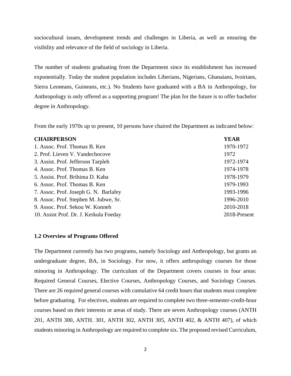sociocultural issues, development trends and challenges in Liberia, as well as ensuring the visibility and relevance of the field of sociology in Liberia.

The number of students graduating from the Department since its establishment has increased exponentially. Today the student population includes Liberians, Nigerians, Ghanaians, Ivoirians, Sierra Leoneans, Guineans, etc.). No Students have graduated with a BA in Anthropology, for Anthropology is only offered as a supporting program! The plan for the future is to offer bachelor degree in Anthropology.

From the early 1970s up to present, 10 persons have chaired the Department as indicated below:

# **CHAIRPERSON YEAR**

| 1. Assoc. Prof. Thomas B. Ken          | 1970-1972    |
|----------------------------------------|--------------|
| 2. Prof. Lieven V. Vandechocove        | 1972         |
| 3. Assist. Prof. Jefferson Tarpleh     | 1972-1974    |
| 4. Assoc. Prof. Thomas B. Ken          | 1974-1978    |
| 5. Assist. Prof. Brihima D. Kaba       | 1978-1979    |
| 6. Assoc. Prof. Thomas B. Ken          | 1979-1993    |
| 7. Assoc. Prof. Joseph G. N. Barlafey  | 1993-1996    |
| 8. Assoc. Prof. Stephen M. Jubwe, Sr.  | 1996-2010    |
| 9. Assoc. Prof. Sekou W. Konneh        | 2010-2018    |
| 10. Assist Prof. Dr. J. Kerkula Foeday | 2018-Present |

#### **1.2 Overview of Programs Offered**

The Department currently has two programs, namely Sociology and Anthropology, but grants an undergraduate degree, BA, in Sociology. For now, it offers anthropology courses for those minoring in Anthropology. The curriculum of the Department covers courses in four areas: Required General Courses, Elective Courses, Anthropology Courses, and Sociology Courses. There are 26 required general courses with cumulative 64 credit hours that students must complete before graduating. For electives, students are required to complete two three-semester-credit-hour courses based on their interests or areas of study. There are seven Anthropology courses (ANTH 201, ANTH 300, ANTH. 301, ANTH 302, ANTH 305, ANTH 402, & ANTH 407), of which students minoring in Anthropology are required to complete six. The proposed revised Curriculum,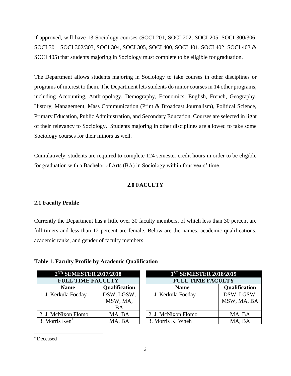if approved, will have 13 Sociology courses (SOCI 201, SOCI 202, SOCI 205, SOCI 300/306, SOCI 301, SOCI 302/303, SOCI 304, SOCI 305, SOCI 400, SOCI 401, SOCI 402, SOCI 403 & SOCI 405) that students majoring in Sociology must complete to be eligible for graduation.

The Department allows students majoring in Sociology to take courses in other disciplines or programs of interest to them. The Department lets students do minor courses in 14 other programs, including Accounting, Anthropology, Demography, Economics, English, French, Geography, History, Management, Mass Communication (Print & Broadcast Journalism), Political Science, Primary Education, Public Administration, and Secondary Education. Courses are selected in light of their relevancy to Sociology. Students majoring in other disciplines are allowed to take some Sociology courses for their minors as well.

Cumulatively, students are required to complete 124 semester credit hours in order to be eligible for graduation with a Bachelor of Arts (BA) in Sociology within four years' time.

# **2.0 FACULTY**

# **2.1 Faculty Profile**

Currently the Department has a little over 30 faculty members, of which less than 30 percent are full-timers and less than 12 percent are female. Below are the names, academic qualifications, academic ranks, and gender of faculty members.

|  | Table 1. Faculty Profile by Academic Qualification |  |  |  |
|--|----------------------------------------------------|--|--|--|
|  |                                                    |  |  |  |

| 2 <sup>ND</sup> SEMESTER 2017/2018 |            |  | 1 <sup>ST</sup> SEMESTER 2018/2019 |               |  |
|------------------------------------|------------|--|------------------------------------|---------------|--|
| <b>FULL TIME FACULTY</b>           |            |  | <b>FULL TIME FACULTY</b>           |               |  |
| Qualification<br><b>Name</b>       |            |  | <b>Name</b>                        | Qualification |  |
| 1. J. Kerkula Foeday               | DSW, LGSW, |  | 1. J. Kerkula Foeday               | DSW, LGSW,    |  |
|                                    | MSW, MA,   |  |                                    | MSW, MA, BA   |  |
|                                    | <b>BA</b>  |  |                                    |               |  |
| 2. J. McNixon Flomo                | MA, BA     |  | 2. J. McNixon Flomo                | MA, BA        |  |
| 3. Morris Ken <sup>*</sup>         | MA, BA     |  | 3. Morris K. Wheh                  | MA, BA        |  |

<sup>\*</sup> Deceased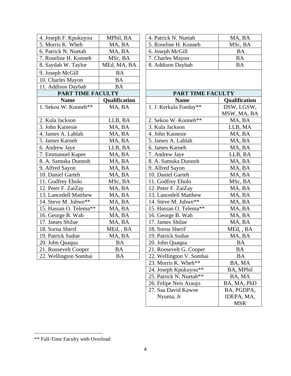| 4. Joseph F. Kpukuyou    | MPhil, BA     | 4. Patrick N. Nuetah     | MA, BA       |
|--------------------------|---------------|--------------------------|--------------|
| 5. Morris K. Wheh        | MA, BA        | 5. Roseline H. Konneh    | MSc, BA      |
| 6. Patrick N. Nuetah     | MA, BA        | 6. Joseph McGill         | <b>BA</b>    |
| 7. Roseline H. Konneh    | MSc, BA       | 7. Charles Mayon         | <b>BA</b>    |
| 8. Saydah W. Taylor      | MEd, MA, BA   | 8. Addison Daybah        | <b>BA</b>    |
| 9. Joseph McGill         | <b>BA</b>     |                          |              |
| 10. Charles Mayon        | <b>BA</b>     |                          |              |
| 11. Addison Daybah       | <b>BA</b>     |                          |              |
| <b>PART TIME FACULTY</b> |               | PART TIME FACULTY        |              |
| <b>Name</b>              | Qualification | <b>Name</b>              | Qualificatio |
| 1. Sekou W. Konneh**     | MA, BA        | 1. J. Kerkula Foeday**   | DSW, LGSV    |
|                          |               |                          | MSW, MA, I   |
| 2. Kula Jackson          | LLB, BA       | 2. Sekou W. Konneh**     | MA, BA       |
| 3. John Kainesie         | MA, BA        | 3. Kula Jackson          | LLB, MA      |
| 4. James A. Lablah       | MA, BA        | 4. John Kainesie         | MA, BA       |
| 5. James Karneh          | MA, BA        | 5. James A. Lablah       | MA, BA       |
| 6. Andrew Jaye           | LLB, BA       | 6. James Karneh          | MA, BA       |
| 7. Emmanuel Kapee        | MA, BA        | 7. Andrew Jaye           | LLB, BA      |
| 8. A. Samuka Dunnoh      | MA, BA        | 8. A. Samuka Dunnoh      | MA, BA       |
| 9. Alfred Sayon          | MA, BA        | 9. Alfred Sayon          | MA, BA       |
| 10. Daniel Garteh        | MA, BA        | 10. Daniel Garteh        | MA, BA       |
| 11. Godfrey Eholo        | MSc, BA       | 11. Godfrey Eholo        | MSc, BA      |
| 12. Peter F. ZaiZay      | MA, BA        | 12. Peter F. ZaiZay      | MA, BA       |
| 13. Lancedell Matthew    | MA, BA        | 13. Lancedell Matthew    | MA, BA       |
| 14. Steve M. Jubwe**     | MA, BA        | 14. Steve M. Jubwe**     | MA, BA       |
| 15. Hassan O. Telema**   | MA, BA        | 15. Hassan O. Telema**   | MA, BA       |
| 16. George B. Wah        | MA, BA        | 16. George B. Wah        | MA, BA       |
| 17. James Shilue         | MA, BA        | 17. James Shilue         | MA, BA       |
| 18. Sorna Sherif         | MEd, , BA     | 18. Sorna Sherif         | MEd, , BA    |
| 19. Patrick Sudue        | MA, BA        | 19. Patrick Sudue        | MA, BA       |
| 20. John Quaqua          | <b>BA</b>     | 20. John Quaqua          | <b>BA</b>    |
| 21. Roosevelt Cooper     | <b>BA</b>     | 21. Roosevelt G. Cooper  | <b>BA</b>    |
| 22. Wellington Sombai    | $\mathbf{BA}$ | 22. Wellington V. Sombai | <b>BA</b>    |

| 4. Joseph F. Kpukuyou    | MPhil, BA            | 4. Patrick N. Nuetah   | MA, BA                    |
|--------------------------|----------------------|------------------------|---------------------------|
| 5. Morris K. Wheh        | MA, BA               | 5. Roseline H. Konneh  | MSc, BA                   |
| 6. Patrick N. Nuetah     | MA, BA               | 6. Joseph McGill       | <b>BA</b>                 |
| 7. Roseline H. Konneh    | MSc, BA              | 7. Charles Mayon       | <b>BA</b>                 |
| 8. Saydah W. Taylor      | MEd, MA, BA          | 8. Addison Daybah      | <b>BA</b>                 |
| 9. Joseph McGill         | <b>BA</b>            |                        |                           |
| 10. Charles Mayon        | <b>BA</b>            |                        |                           |
| 11. Addison Daybah       | <b>BA</b>            |                        |                           |
| <b>PART TIME FACULTY</b> |                      | PART TIME FACULTY      |                           |
| <b>Name</b>              | <b>Qualification</b> | <b>Name</b>            | <b>Qualification</b>      |
| 1. Sekou W. Konneh**     | MA, BA               | 1. J. Kerkula Foeday** | DSW, LGSW,<br>MSW, MA, BA |
| 2. Kula Jackson          | LLB, BA              | 2. Sekou W. Konneh**   | MA, BA                    |
| 3. John Kainesie         | MA, BA               | 3. Kula Jackson        | LLB, MA                   |
| 4. James A. Lablah       | MA, BA               | 4. John Kainesie       | MA, BA                    |
| 5. James Karneh          | MA, BA               | 5. James A. Lablah     | MA, BA                    |
| 6. Andrew Jaye           | LLB, BA              | 6. James Karneh        | MA, BA                    |
| 7. Emmanuel Kapee        | MA, BA               | 7. Andrew Jaye         | LLB, BA                   |
| 8. A. Samuka Dunnoh      | MA, BA               | 8. A. Samuka Dunnoh    | MA, BA                    |
| 9. Alfred Sayon          | MA, BA               | 9. Alfred Sayon        | MA, BA                    |
| 10. Daniel Garteh        | MA, BA               | 10. Daniel Garteh      | MA, BA                    |
| 11. Godfrey Eholo        | MSc, BA              | 11. Godfrey Eholo      | MSc, BA                   |
| 12. Peter F. ZaiZay      | MA, BA               | 12. Peter F. ZaiZay    | MA, BA                    |
| 13. Lancedell Matthew    | MA, BA               | 13. Lancedell Matthew  | MA, BA                    |
| 14. Steve M. Jubwe**     | MA, BA               | 14. Steve M. Jubwe**   | MA, BA                    |
| 15. Hassan O. Telema**   | MA, BA               | 15. Hassan O. Telema** | MA, BA                    |
| 16. George B. Wah        | MA, BA               | 16. George B. Wah      | MA, BA                    |
| 17. James Shilue         | MA, BA               | 17. James Shilue       | MA, BA                    |
| 18. Sorna Sherif         | MEd, , BA            | 18. Sorna Sherif       | MEd, , BA                 |
| 19. Patrick Sudue        | MA, BA               | 19. Patrick Sudue      | MA, BA                    |

19. 20. John Quaqua BA 20. John Quaqua BA 21. Roosevelt G. Cooper BA 22. Wellington V. Sombai BA 23. Morris K. Wheh\*\* BA, MA 24. Joseph Kpukuyou\*\* BA, MPhil

25. Patrick N. Nuetah\*\* BA, MA<br>26. Felipe Neis Araujo BA, MA, PhD

BA, PGDPA, IDEPA, MA, MSR

26. Felipe Neis Araujo 27. Saa David Kawoe Nyuma, Jr

<sup>\*\*</sup> Full-Time Faculty with Overload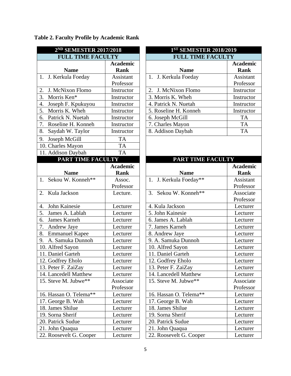| 2ND SEMESTER 2017/2018      |                                | 1ST SEMESTER 2018/2019               |              |  |  |
|-----------------------------|--------------------------------|--------------------------------------|--------------|--|--|
| <b>FULL TIME FACULTY</b>    |                                | <b>FULL TIME FACULTY</b>             |              |  |  |
| <b>Name</b>                 | <b>Academic</b><br><b>Rank</b> | <b>Name</b>                          | Acade<br>Ran |  |  |
| 1. J. Kerkula Foeday        | Assistant                      | 1. J. Kerkula Foeday                 | Assist       |  |  |
|                             | Professor                      |                                      | Profes       |  |  |
| J. McNixon Flomo<br>2.      | Instructor                     | J. McNixon Flomo<br>$\overline{2}$ . | Instruc      |  |  |
| 3.<br>Morris Ken*           | Instructor                     | 3. Morris K. Wheh                    | Instruc      |  |  |
| 4.<br>Joseph F. Kpukuyou    | Instructor                     | 4. Patrick N. Nuetah                 | Instruc      |  |  |
| 5.<br>Morris K. Wheh        | Instructor                     | 5. Roseline H. Konneh                | Instruc      |  |  |
| Patrick N. Nuetah<br>6.     | Instructor                     | 6. Joseph McGill                     | <b>TA</b>    |  |  |
| 7.<br>Roseline H. Konneh    | Instructor                     | 7. Charles Mayon                     | <b>TA</b>    |  |  |
| 8.<br>Saydah W. Taylor      | Instructor                     | 8. Addison Daybah                    | <b>TA</b>    |  |  |
| Joseph McGill<br>9.         | <b>TA</b>                      |                                      |              |  |  |
| 10. Charles Mayon           | <b>TA</b>                      |                                      |              |  |  |
| 11. Addison Daybah          | <b>TA</b>                      |                                      |              |  |  |
| PART TIME FACULTY           |                                | PART TIME FACULTY                    |              |  |  |
|                             | <b>Academic</b>                |                                      | Acade        |  |  |
| <b>Name</b>                 | <b>Rank</b>                    | <b>Name</b>                          | Ran          |  |  |
| 1. Sekou W. Konneh**        | Assoc.                         | 1. J. Kerkula Foeday**               | Assist       |  |  |
|                             | Professor                      |                                      | Profes       |  |  |
| Kula Jackson<br>2.          | Lecture.                       | Sekou W. Konneh**<br>3.              | Associ       |  |  |
|                             |                                |                                      | Profes       |  |  |
| John Kainesie<br>4.         | Lecturer                       | 4. Kula Jackson                      | Lectu        |  |  |
| 5.<br>James A. Lablah       | Lecturer                       | 5. John Kainesie                     | Lectu        |  |  |
| James Karneh<br>6.          | Lecturer                       | 6. James A. Lablah                   | Lectu        |  |  |
| 7.<br>Andrew Jaye           | Lecturer                       | 7. James Karneh                      | Lectu        |  |  |
| 8.<br><b>Emmanuel Kapee</b> | Lecturer                       | 8. Andrew Jaye                       | Lectu        |  |  |
| A. Samuka Dunnoh<br>9.      | Lecturer                       | 9. A. Samuka Dunnoh                  | Lectu        |  |  |
| 10. Alfred Sayon            | Lecturer                       | 10. Alfred Sayon                     | Lectu        |  |  |
| 11. Daniel Garteh           | Lecturer                       | 11. Daniel Garteh                    | Lectu        |  |  |
| 12. Godfrey Eholo           | Lecturer                       | 12. Godfrey Eholo                    | Lectu        |  |  |
| 13. Peter F. ZaiZay         | Lecturer                       | 13. Peter F. ZaiZay                  | Lectu        |  |  |
| 14. Lancedell Matthew       | Lecturer                       | 14. Lancedell Matthew                | Lectu        |  |  |
| 15. Steve M. Jubwe**        | Associate                      | 15. Steve M. Jubwe**                 | Associ       |  |  |
|                             | Professor                      |                                      | Profes       |  |  |
| 16. Hassan O. Telema**      | Lecturer                       | 16. Hassan O. Telema**               | Lectu        |  |  |
| 17. George B. Wah           | Lecturer                       | 17. George B. Wah                    | Lectu        |  |  |
| 18. James Shilue            | Lecturer                       | 18. James Shilue                     | Lectu        |  |  |
| 19. Sorna Sherif            | Lecturer                       | 19. Sorna Sherif                     | Lectu        |  |  |
| 20. Patrick Sudue           | Lecturer                       | 20. Patrick Sudue                    | Lectu        |  |  |
| 21. John Quaqua             | Lecturer                       | 21. John Quaqua                      | Lectu        |  |  |
| 22. Roosevelt G. Cooper     | Lecturer                       | 22. Roosevelt G. Cooper              | Lectu        |  |  |

|  |  |  | Table 2. Faculty Profile by Academic Rank |
|--|--|--|-------------------------------------------|
|--|--|--|-------------------------------------------|

| 2ND SEMESTER 2017/2018            |                 |                                                    |                  |  |
|-----------------------------------|-----------------|----------------------------------------------------|------------------|--|
| <b>FULL TIME FACULTY</b>          |                 | 1ST SEMESTER 2018/2019<br><b>FULL TIME FACULTY</b> |                  |  |
|                                   | <b>Academic</b> |                                                    | <b>Academic</b>  |  |
| <b>Name</b>                       | <b>Rank</b>     | <b>Name</b>                                        | <b>Rank</b>      |  |
| 1. J. Kerkula Foeday              | Assistant       | 1. J. Kerkula Foeday                               | Assistant        |  |
|                                   | Professor       |                                                    | Professor        |  |
| 2.<br>J. McNixon Flomo            | Instructor      | J. McNixon Flomo<br>2.                             | Instructor       |  |
| $\overline{3}$ .<br>Morris Ken*   | Instructor      | 3. Morris K. Wheh                                  | Instructor       |  |
| 4.<br>Joseph F. Kpukuyou          | Instructor      | 4. Patrick N. Nuetah                               | Instructor       |  |
| 5.<br>Morris K. Wheh              | Instructor      | 5. Roseline H. Konneh                              | Instructor       |  |
| 6.<br>Patrick N. Nuetah           | Instructor      | 6. Joseph McGill                                   | <b>TA</b>        |  |
| 7. Roseline H. Konneh             | Instructor      | 7. Charles Mayon                                   | <b>TA</b>        |  |
| 8.<br>Saydah W. Taylor            | Instructor      | 8. Addison Daybah                                  | <b>TA</b>        |  |
| 9.<br>Joseph McGill               | TA              |                                                    |                  |  |
| 10. Charles Mayon                 | <b>TA</b>       |                                                    |                  |  |
| 11. Addison Daybah                | <b>TA</b>       |                                                    |                  |  |
| <b>PART TIME FACULTY</b>          |                 | PART TIME FACULTY                                  |                  |  |
|                                   | <b>Academic</b> |                                                    | <b>Academic</b>  |  |
| <b>Name</b>                       | <b>Rank</b>     | <b>Name</b>                                        | <b>Rank</b>      |  |
| $\overline{1.}$ Sekou W. Konneh** | Assoc.          | 1. J. Kerkula Foeday**                             | <b>Assistant</b> |  |
|                                   | Professor       |                                                    | Professor        |  |
| 2. Kula Jackson                   | Lecture.        | 3.<br>Sekou W. Konneh**                            | Associate        |  |
|                                   |                 |                                                    | Professor        |  |
| John Kainesie<br>4.               | Lecturer        | 4. Kula Jackson                                    | Lecturer         |  |
| 5.<br>James A. Lablah             | Lecturer        | 5. John Kainesie                                   | Lecturer         |  |
| 6.<br>James Karneh                | Lecturer        | 6. James A. Lablah                                 | Lecturer         |  |

7. James Karneh Lecturer<br>
8. Andrew Jaye Lecturer

9. A. Samuka Dunnoh Lecturer 9. A. Samuka Dunnoh Lecturer 10. Alfred Sayon Lecturer 11. Daniel Garteh Lecturer 11. Daniel Garteh Lecturer 12. Godfrey Eholo Lecturer 12. Godfrey Eholo Lecturer 13. Peter F. ZaiZay Lecturer 14. Lancedell Matthew Lecturer

15. Steve M. Jubwe<sup>\*\*</sup> Associate

16. Hassan O. Telema<sup>\*\*</sup> Lecturer 17. George B. Wah Lecturer

18. James Shilue Lecturer 18. James Shilue Lecturer 19. Sorna Sherif Lecturer 19. Sorna Sherif Lecturer 20. Patrick Sudue Lecturer 20. Patrick Sudue Lecturer 21. John Quaqua Lecturer 21. John Quaqua Lecturer 22. Roosevelt G. Cooper Lecturer

Professor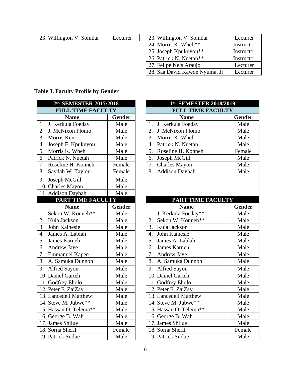| 23. Willington V. Sombai | Lecturer |
|--------------------------|----------|
|--------------------------|----------|

| 23. Willington V. Sombai | Lecturer | 23. Willington V. Sombai      | Lecturer   |
|--------------------------|----------|-------------------------------|------------|
|                          |          | 24. Morris K. Wheh**          | Instructor |
|                          |          | 25. Joseph Kpukuyou**         | Instructor |
|                          |          | 26. Patrick N. Nuetah**       | Instructor |
|                          |          | 27. Felipe Neis Araujo        | Lecturer   |
|                          |          | 28. Saa David Kawoe Nyuma, Jr | Lecturer   |

# **Table 3. Faculty Profile by Gender**

| 2 <sup>nd</sup> SEMESTER 2017/2018 | $\mathbf{1}$  |               |
|------------------------------------|---------------|---------------|
| <b>FULL TIME FACULTY</b>           |               |               |
| <b>Name</b>                        | Gender        |               |
| J. Kerkula Foeday<br>1.            | Male          | J. Kerk<br>1. |
| 2.<br>J. McNixon Flomo             | Male          | 2.<br>J. McN  |
| $\overline{3}$ .<br>Morris Ken     | Male          | 3. Morris     |
| 4.<br>Joseph F. Kpukuyou           | Male          | Patrick<br>4. |
| 5.<br>Morris K. Wheh               | Male          | 5.<br>Roselin |
| 6.<br>Patrick N. Nuetah            | Male          | 6.<br>Joseph  |
| 7.<br>Roseline H. Konneh           | Female        | 7. Charle     |
| Saydah W. Taylor<br>8.             | Female        | 8.<br>Addisc  |
| Joseph McGill<br>9.                | Male          |               |
| 10. Charles Mayon                  | Male          |               |
| 11. Addison Daybah                 | Male          |               |
| PART TIME FACULTY                  |               |               |
| <b>Name</b>                        | <b>Gender</b> |               |
| Sekou W. Konneh**<br>1.            | Male          | J. Kerk<br>1. |
| 2.<br>Kula Jackson                 | Male          | 2. Sekou      |
| 3.<br>John Kainesie                | Male          | 3. Kula Ja    |
| 4. James A. Lablah                 | Male          | John K<br>4.  |
| 5.<br>James Karneh                 | Male          | 5.<br>James   |
| 6. Andrew Jaye                     | Male          | 6. James      |
| 7. Emmanuel Kapee                  | Male          | 7. Andrey     |
| 8. A. Samuka Dunnoh                | Male          | 8. A. San     |
| 9. Alfred Sayon                    | Male          | 9. Alfred     |
| 10. Daniel Garteh                  | Male          | 10. Daniel    |
| 11. Godfrey Eholo                  | Male          | 11. Godfre    |
| 12. Peter F. ZaiZay                | Male          | 12. Peter F   |
| 13. Lancedell Matthew              | Male          | 13. Lanced    |
| 14. Steve M. Jubwe**               | Male          | 14. Steve I   |
| 15. Hassan O. Telema**             | Male          | 15. Hassan    |
| 16. George B. Wah                  | Male          | 16. George    |
| $\overline{17}$ . James Shilue     | Male          | 17. James     |
| 18. Sorna Sherif                   | Female        | 18. Sorna :   |
| 19. Patrick Sudue                  | Male          | 19. Patrick   |

| 2nd SEMESTER 2017/2018            |               | 1st SEMESTER 2018/2019                |        |
|-----------------------------------|---------------|---------------------------------------|--------|
| <b>FULL TIME FACULTY</b>          |               | <b>FULL TIME FACULTY</b>              |        |
| <b>Name</b>                       | <b>Gender</b> | <b>Name</b>                           | Gender |
| 1. J. Kerkula Foeday              | Male          | J. Kerkula Foeday<br>1.               | Male   |
| 2. J. McNixon Flomo               | Male          | 2.<br>J. McNixon Flomo                | Male   |
| 3. Morris Ken                     | Male          | 3.<br>Morris K. Wheh                  | Male   |
| 4. Joseph F. Kpukuyou             | Male          | Patrick N. Nuetah<br>$\overline{4}$ . | Male   |
| 5. Morris K. Wheh                 | Male          | 5.<br>Roseline H. Konneh              | Female |
| 6. Patrick N. Nuetah              | Male          | 6.<br>Joseph McGill                   | Male   |
| 7. Roseline H. Konneh             | Female        | <b>Charles Mayon</b><br>7.            | Male   |
| 8. Saydah W. Taylor               | Female        | <b>Addison Daybah</b><br>8.           | Male   |
| 9. Joseph McGill                  | Male          |                                       |        |
| 10. Charles Mayon                 | Male          |                                       |        |
| 11. Addison Daybah                | Male          |                                       |        |
| PART TIME FACULTY                 |               | PART TIME FACULTY                     |        |
| <b>Name</b>                       | <b>Gender</b> | <b>Name</b>                           | Gender |
| 1. Sekou W. Konneh**              | Male          | 1. J. Kerkula Foeday**                | Male   |
| 2.<br>Kula Jackson                | Male          | Sekou W. Konneh**<br>2.               | Male   |
| $\overline{3}$ .<br>John Kainesie | Male          | 3. Kula Jackson                       | Male   |
| 4.<br>James A. Lablah             | Male          | John Kainesie<br>$\overline{4}$ .     | Male   |
| 5.<br>James Karneh                | Male          | 5.<br>James A. Lablah                 | Male   |
| 6.<br>Andrew Jaye                 | Male          | James Karneh<br>6.                    | Male   |
| 7. Emmanuel Kapee                 | Male          | 7.<br>Andrew Jaye                     | Male   |
| 8. A. Samuka Dunnoh               | Male          | A. Samuka Dunnoh<br>8.                | Male   |
| 9. Alfred Sayon                   | Male          | <b>Alfred Sayon</b><br>9.             | Male   |
| 10. Daniel Garteh                 | Male          | 10. Daniel Garteh                     | Male   |
| 11. Godfrey Eholo                 | Male          | 11. Godfrey Eholo                     | Male   |
| 12. Peter F. ZaiZay               | Male          | 12. Peter F. ZaiZay                   | Male   |
| 13. Lancedell Matthew             | Male          | 13. Lancedell Matthew                 | Male   |
| 14. Steve M. Jubwe**              | Male          | 14. Steve M. Jubwe**                  | Male   |
| 15. Hassan O. Telema**            | Male          | 15. Hassan O. Telema**                | Male   |
| 16. George B. Wah                 | Male          | 16. George B. Wah                     | Male   |
| 17. James Shilue                  | Male          | 17. James Shilue                      | Male   |
| 18. Sorna Sherif                  | Female        | 18. Sorna Sherif                      | Female |
| 19. Patrick Sudue                 | Male          | 19. Patrick Sudue                     | Male   |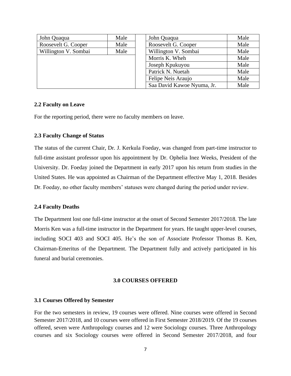| John Quaqua          | Male | John Quaqua                | Male |
|----------------------|------|----------------------------|------|
| Roosevelt G. Cooper  | Male | Roosevelt G. Cooper        | Male |
| Willington V. Sombai | Male | Willington V. Sombai       | Male |
|                      |      | Morris K. Wheh             | Male |
|                      |      | Joseph Kpukuyou            | Male |
|                      |      | Patrick N. Nuetah          | Male |
|                      |      | Felipe Neis Araujo         | Male |
|                      |      | Saa David Kawoe Nyuma, Jr. | Male |

#### **2.2 Faculty on Leave**

For the reporting period, there were no faculty members on leave.

#### **2.3 Faculty Change of Status**

The status of the current Chair, Dr. J. Kerkula Foeday, was changed from part-time instructor to full-time assistant professor upon his appointment by Dr. Ophelia Inez Weeks, President of the University. Dr. Foeday joined the Department in early 2017 upon his return from studies in the United States. He was appointed as Chairman of the Department effective May 1, 2018. Besides Dr. Foeday, no other faculty members' statuses were changed during the period under review.

#### **2.4 Faculty Deaths**

The Department lost one full-time instructor at the onset of Second Semester 2017/2018. The late Morris Ken was a full-time instructor in the Department for years. He taught upper-level courses, including SOCI 403 and SOCI 405. He's the son of Associate Professor Thomas B. Ken, Chairman-Emeritus of the Department. The Department fully and actively participated in his funeral and burial ceremonies.

#### **3.0 COURSES OFFERED**

#### **3.1 Courses Offered by Semester**

For the two semesters in review, 19 courses were offered. Nine courses were offered in Second Semester 2017/2018, and 10 courses were offered in First Semester 2018/2019. Of the 19 courses offered, seven were Anthropology courses and 12 were Sociology courses. Three Anthropology courses and six Sociology courses were offered in Second Semester 2017/2018, and four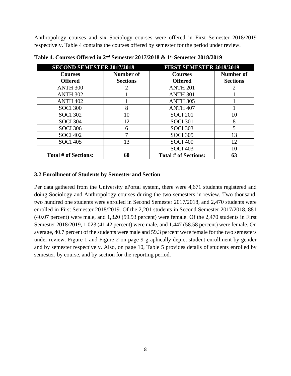Anthropology courses and six Sociology courses were offered in First Semester 2018/2019 respectively. Table 4 contains the courses offered by semester for the period under review.

| <b>SECOND SEMESTER 2017/2018</b> |                 | <b>FIRST SEMESTER 2018/2019</b> |                 |
|----------------------------------|-----------------|---------------------------------|-----------------|
| <b>Courses</b>                   | Number of       | <b>Courses</b>                  | Number of       |
| <b>Offered</b>                   | <b>Sections</b> | <b>Offered</b>                  | <b>Sections</b> |
| <b>ANTH 300</b>                  |                 | <b>ANTH 201</b>                 |                 |
| <b>ANTH 302</b>                  |                 | ANTH <sub>301</sub>             |                 |
| <b>ANTH 402</b>                  |                 | <b>ANTH 305</b>                 |                 |
| <b>SOCI 300</b>                  | 8               | ANTH <sub>407</sub>             |                 |
| <b>SOCI 302</b>                  | 10              | <b>SOCI 201</b>                 | 10              |
| <b>SOCI 304</b>                  | 12.             | <b>SOCI 301</b>                 | 8               |
| <b>SOCI 306</b>                  | 6               | <b>SOCI 303</b>                 | 5               |
| <b>SOCI 402</b>                  | 7               | <b>SOCI 305</b>                 | 13              |
| <b>SOCI 405</b>                  | 13              | <b>SOCI 400</b>                 | 12              |
|                                  |                 | <b>SOCI 403</b>                 | 10              |
| <b>Total # of Sections:</b>      | 60              | <b>Total # of Sections:</b>     | 63              |

**Table 4. Courses Offered in 2nd Semester 2017/2018 & 1st Semester 2018/2019**

## **3.2 Enrollment of Students by Semester and Section**

Per data gathered from the University ePortal system, there were 4,671 students registered and doing Sociology and Anthropology courses during the two semesters in review. Two thousand, two hundred one students were enrolled in Second Semester 2017/2018, and 2,470 students were enrolled in First Semester 2018/2019. Of the 2,201 students in Second Semester 2017/2018, 881 (40.07 percent) were male, and 1,320 (59.93 percent) were female. Of the 2,470 students in First Semester 2018/2019, 1,023 (41.42 percent) were male, and 1,447 (58.58 percent) were female. On average, 40.7 percent of the students were male and 59.3 percent were female for the two semesters under review. Figure 1 and Figure 2 on page 9 graphically depict student enrollment by gender and by semester respectively. Also, on page 10, Table 5 provides details of students enrolled by semester, by course, and by section for the reporting period.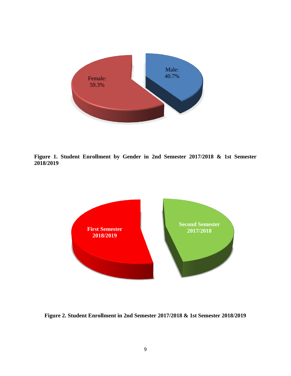

**Figure 1. Student Enrollment by Gender in 2nd Semester 2017/2018 & 1st Semester 2018/2019**



**Figure 2. Student Enrollment in 2nd Semester 2017/2018 & 1st Semester 2018/2019**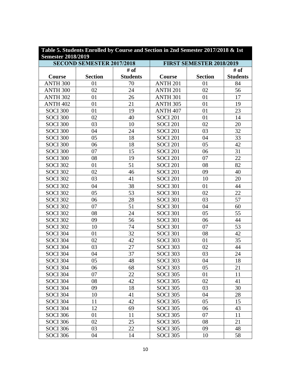| Table 5. Students Enrolled by Course and Section in 2nd Semester 2017/2018 & 1st<br><b>Semester 2018/2019</b> |                                  |                 |                          |                |                 |
|---------------------------------------------------------------------------------------------------------------|----------------------------------|-----------------|--------------------------|----------------|-----------------|
|                                                                                                               | <b>SECOND SEMESTER 2017/2018</b> |                 | FIRST SEMESTER 2018/2019 |                |                 |
|                                                                                                               |                                  | # of            |                          |                | # of            |
| Course                                                                                                        | <b>Section</b>                   | <b>Students</b> | Course                   | <b>Section</b> | <b>Students</b> |
| <b>ANTH 300</b>                                                                                               | 01                               | 70              | ANTH <sub>201</sub>      | 01             | 84              |
| ANTH 300                                                                                                      | 02                               | 24              | <b>ANTH 201</b>          | 02             | 56              |
| <b>ANTH 302</b>                                                                                               | 01                               | 26              | <b>ANTH 301</b>          | 01             | 17              |
| <b>ANTH 402</b>                                                                                               | 01                               | 21              | <b>ANTH 305</b>          | 01             | 19              |
| <b>SOCI 300</b>                                                                                               | 01                               | 19              | ANTH <sub>407</sub>      | 01             | 23              |
| <b>SOCI 300</b>                                                                                               | 02                               | 40              | <b>SOCI 201</b>          | 01             | 14              |
| <b>SOCI 300</b>                                                                                               | 03                               | 10              | <b>SOCI 201</b>          | 02             | 20              |
| <b>SOCI 300</b>                                                                                               | 04                               | 24              | <b>SOCI 201</b>          | 03             | 32              |
| <b>SOCI 300</b>                                                                                               | 05                               | 18              | <b>SOCI 201</b>          | 04             | 33              |
| <b>SOCI 300</b>                                                                                               | 06                               | 18              | <b>SOCI 201</b>          | 05             | 42              |
| <b>SOCI 300</b>                                                                                               | 07                               | 15              | <b>SOCI 201</b>          | 06             | 31              |
| <b>SOCI 300</b>                                                                                               | 08                               | 19              | <b>SOCI 201</b>          | 07             | 22              |
| <b>SOCI 302</b>                                                                                               | 01                               | 51              | <b>SOCI 201</b>          | 08             | 82              |
| <b>SOCI 302</b>                                                                                               | 02                               | 46              | <b>SOCI 201</b>          | 09             | 40              |
| <b>SOCI 302</b>                                                                                               | 03                               | 41              | <b>SOCI 201</b>          | 10             | 20              |
| <b>SOCI 302</b>                                                                                               | 04                               | 38              | <b>SOCI 301</b>          | 01             | 44              |
| <b>SOCI 302</b>                                                                                               | 05                               | 53              | <b>SOCI 301</b>          | 02             | 22              |
| <b>SOCI 302</b>                                                                                               | 06                               | 28              | <b>SOCI 301</b>          | 03             | 57              |
| <b>SOCI 302</b>                                                                                               | 07                               | 51              | <b>SOCI 301</b>          | 04             | 60              |
| <b>SOCI 302</b>                                                                                               | 08                               | 24              | <b>SOCI 301</b>          | 05             | 55              |
| <b>SOCI 302</b>                                                                                               | 09                               | 56              | <b>SOCI 301</b>          | 06             | 44              |
| <b>SOCI 302</b>                                                                                               | 10                               | 74              | <b>SOCI 301</b>          | 07             | 53              |
| <b>SOCI 304</b>                                                                                               | 01                               | 32              | <b>SOCI 301</b>          | 08             | 42              |
| <b>SOCI 304</b>                                                                                               | 02                               | 42              | <b>SOCI 303</b>          | 01             | 35              |
| <b>SOCI 304</b>                                                                                               | 03                               | 27              | <b>SOCI 303</b>          | 02             | 44              |
| <b>SOCI 304</b>                                                                                               | 04                               | 37              | <b>SOCI 303</b>          | 03             | 24              |
| <b>SOCI 304</b>                                                                                               | 05                               | 48              | <b>SOCI 303</b>          | 04             | 18              |
| <b>SOCI 304</b>                                                                                               | 06                               | 68              | <b>SOCI 303</b>          | 05             | 21              |
| <b>SOCI 304</b>                                                                                               | 07                               | 22              | <b>SOCI 305</b>          | 01             | 11              |
| <b>SOCI 304</b>                                                                                               | 08                               | 42              | <b>SOCI 305</b>          | 02             | 41              |
| <b>SOCI 304</b>                                                                                               | 09                               | 18              | <b>SOCI 305</b>          | 03             | 30              |
| <b>SOCI 304</b>                                                                                               | 10                               | 41              | <b>SOCI 305</b>          | 04             | 28              |
| <b>SOCI 304</b>                                                                                               | 11                               | 42              | <b>SOCI 305</b>          | 05             | 15              |
| <b>SOCI 304</b>                                                                                               | 12                               | 69              | <b>SOCI 305</b>          | 06             | 43              |
| <b>SOCI 306</b>                                                                                               | 01                               | 11              | <b>SOCI 305</b>          | 07             | 11              |
| <b>SOCI 306</b>                                                                                               | 02                               | 25              | <b>SOCI 305</b>          | 08             | 21              |
| <b>SOCI 306</b>                                                                                               | 03                               | 22              | <b>SOCI 305</b>          | 09             | 48              |
| <b>SOCI 306</b>                                                                                               | 04                               | 14              | <b>SOCI 305</b>          | 10             | 58              |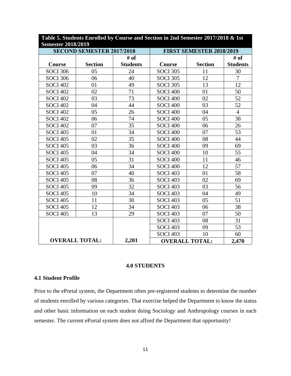| <b>Semester 2018/2019</b> |                                  |                 |                          |                       |                 |
|---------------------------|----------------------------------|-----------------|--------------------------|-----------------------|-----------------|
|                           | <b>SECOND SEMESTER 2017/2018</b> |                 | FIRST SEMESTER 2018/2019 |                       |                 |
|                           |                                  | # of            |                          |                       | # of            |
| Course                    | <b>Section</b>                   | <b>Students</b> | Course                   | <b>Section</b>        | <b>Students</b> |
| <b>SOCI 306</b>           | 05                               | 24              | <b>SOCI 305</b>          | 11                    | 30              |
| <b>SOCI 306</b>           | 06                               | 40              | <b>SOCI 305</b>          | 12                    | $\overline{7}$  |
| <b>SOCI 402</b>           | 01                               | 49              | <b>SOCI 305</b>          | 13                    | 12              |
| <b>SOCI 402</b>           | 02                               | 71              | <b>SOCI 400</b>          | 01                    | 50              |
| <b>SOCI 402</b>           | 03                               | 73              | <b>SOCI 400</b>          | 02                    | 52              |
| <b>SOCI 402</b>           | 04                               | 44              | <b>SOCI 400</b>          | 03                    | 52              |
| <b>SOCI 402</b>           | 05                               | 26              | <b>SOCI 400</b>          | 04                    | $\overline{4}$  |
| <b>SOCI 402</b>           | 06                               | 74              | <b>SOCI 400</b>          | 05                    | 38              |
| <b>SOCI 402</b>           | 07                               | 35              | <b>SOCI 400</b>          | 06                    | 26              |
| <b>SOCI 405</b>           | 01                               | 34              | <b>SOCI 400</b>          | 07                    | 53              |
| <b>SOCI 405</b>           | 02                               | 35              | <b>SOCI 400</b>          | 08                    | 44              |
| <b>SOCI 405</b>           | 03                               | 36              | <b>SOCI 400</b>          | 09                    | 69              |
| <b>SOCI 405</b>           | 04                               | 34              | <b>SOCI 400</b>          | 10                    | 55              |
| <b>SOCI 405</b>           | 05                               | 31              | <b>SOCI 400</b>          | 11                    | 46              |
| <b>SOCI 405</b>           | 06                               | 34              | <b>SOCI 400</b>          | 12                    | 57              |
| <b>SOCI 405</b>           | 07                               | 40              | <b>SOCI 403</b>          | 01                    | 58              |
| <b>SOCI 405</b>           | 08                               | 36              | <b>SOCI 403</b>          | 02                    | 69              |
| <b>SOCI 405</b>           | 09                               | 32              | <b>SOCI 403</b>          | 03                    | 56              |
| <b>SOCI 405</b>           | 10                               | 34              | <b>SOCI 403</b>          | 04                    | 49              |
| <b>SOCI 405</b>           | 11                               | 30              | <b>SOCI 403</b>          | 05                    | 51              |
| <b>SOCI 405</b>           | 12                               | 34              | <b>SOCI 403</b>          | 06                    | 38              |
| <b>SOCI 405</b>           | 13                               | 29              | <b>SOCI 403</b>          | 07                    | 50              |
|                           |                                  |                 | <b>SOCI 403</b>          | 08                    | 31              |
|                           |                                  |                 | <b>SOCI 403</b>          | 09                    | 53              |
|                           |                                  |                 | <b>SOCI 403</b>          | 10                    | 60              |
|                           | <b>OVERALL TOTAL:</b>            | 2,201           |                          | <b>OVERALL TOTAL:</b> | 2,470           |

# **Table 5. Students Enrolled by Course and Section in 2nd Semester 2017/2018 & 1st Semester 2018/2019**

#### **4.0 STUDENTS**

#### **4.1 Student Profile**

Prior to the ePortal system, the Department often pre-registered students to determine the number of students enrolled by various categories. That exercise helped the Department to know the status and other basic information on each student doing Sociology and Anthropology courses in each semester. The current ePortal system does not afford the Department that opportunity!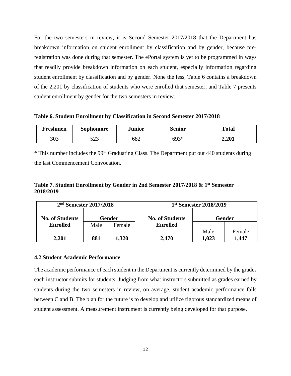For the two semesters in review, it is Second Semester 2017/2018 that the Department has breakdown information on student enrollment by classification and by gender, because preregistration was done during that semester. The ePortal system is yet to be programmed in ways that readily provide breakdown information on each student, especially information regarding student enrollment by classification and by gender. None the less, Table 6 contains a breakdown of the 2,201 by classification of students who were enrolled that semester, and Table 7 presents student enrollment by gender for the two semesters in review.

**Table 6. Student Enrollment by Classification in Second Semester 2017/2018**

| Freshmen | Sophomore  | Junior | Senior | <b>Total</b> |
|----------|------------|--------|--------|--------------|
| 303      | د م<br>ن⊿ب | 682    | 693*   | 2,201        |

 $*$  This number includes the 99<sup>th</sup> Graduating Class. The Department put out 440 students during the last Commencement Convocation.

**Table 7. Student Enrollment by Gender in 2nd Semester 2017/2018 & 1st Semester 2018/2019**

| $2nd$ Semester 2017/2018 |      |        | 1 <sup>st</sup> Semester 2018/2019 |       |        |
|--------------------------|------|--------|------------------------------------|-------|--------|
| <b>No. of Students</b>   |      | Gender | <b>No. of Students</b>             |       | Gender |
| <b>Enrolled</b>          | Male | Female | <b>Enrolled</b>                    |       |        |
|                          |      |        |                                    | Male  | Female |
| 2,201                    | 881  | 1,320  | 2,470                              | 1,023 | ,447   |

#### **4.2 Student Academic Performance**

The academic performance of each student in the Department is currently determined by the grades each instructor submits for students. Judging from what instructors submitted as grades earned by students during the two semesters in review, on average, student academic performance falls between C and B. The plan for the future is to develop and utilize rigorous standardized means of student assessment. A measurement instrument is currently being developed for that purpose.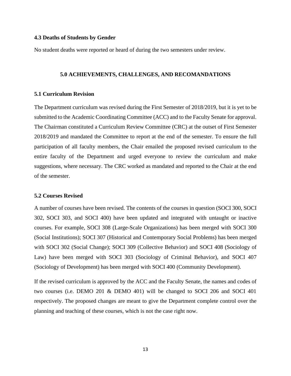#### **4.3 Deaths of Students by Gender**

No student deaths were reported or heard of during the two semesters under review.

#### **5.0 ACHIEVEMENTS, CHALLENGES, AND RECOMANDATIONS**

#### **5.1 Curriculum Revision**

The Department curriculum was revised during the First Semester of 2018/2019, but it is yet to be submitted to the Academic Coordinating Committee (ACC) and to the Faculty Senate for approval. The Chairman constituted a Curriculum Review Committee (CRC) at the outset of First Semester 2018/2019 and mandated the Committee to report at the end of the semester. To ensure the full participation of all faculty members, the Chair emailed the proposed revised curriculum to the entire faculty of the Department and urged everyone to review the curriculum and make suggestions, where necessary. The CRC worked as mandated and reported to the Chair at the end of the semester.

#### **5.2 Courses Revised**

A number of courses have been revised. The contents of the courses in question (SOCI 300, SOCI 302, SOCI 303, and SOCI 400) have been updated and integrated with untaught or inactive courses. For example, SOCI 308 (Large-Scale Organizations) has been merged with SOCI 300 (Social Institutions); SOCI 307 (Historical and Contemporary Social Problems) has been merged with SOCI 302 (Social Change); SOCI 309 (Collective Behavior) and SOCI 408 (Sociology of Law) have been merged with SOCI 303 (Sociology of Criminal Behavior), and SOCI 407 (Sociology of Development) has been merged with SOCI 400 (Community Development).

If the revised curriculum is approved by the ACC and the Faculty Senate, the names and codes of two courses (i.e. DEMO 201 & DEMO 401) will be changed to SOCI 206 and SOCI 401 respectively. The proposed changes are meant to give the Department complete control over the planning and teaching of these courses, which is not the case right now.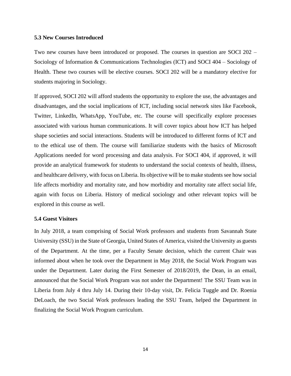#### **5.3 New Courses Introduced**

Two new courses have been introduced or proposed. The courses in question are SOCI 202 – Sociology of Information & Communications Technologies (ICT) and SOCI 404 – Sociology of Health. These two courses will be elective courses. SOCI 202 will be a mandatory elective for students majoring in Sociology.

If approved, SOCI 202 will afford students the opportunity to explore the use, the advantages and disadvantages, and the social implications of ICT, including social network sites like Facebook, Twitter, LinkedIn, WhatsApp, YouTube, etc. The course will specifically explore processes associated with various human communications. It will cover topics about how ICT has helped shape societies and social interactions. Students will be introduced to different forms of ICT and to the ethical use of them. The course will familiarize students with the basics of Microsoft Applications needed for word processing and data analysis. For SOCI 404, if approved, it will provide an analytical framework for students to understand the social contexts of health, illness, and healthcare delivery, with focus on Liberia. Its objective will be to make students see how social life affects morbidity and mortality rate, and how morbidity and mortality rate affect social life, again with focus on Liberia. History of medical sociology and other relevant topics will be explored in this course as well.

#### **5.4 Guest Visitors**

In July 2018, a team comprising of Social Work professors and students from Savannah State University (SSU) in the State of Georgia, United States of America, visited the University as guests of the Department. At the time, per a Faculty Senate decision, which the current Chair was informed about when he took over the Department in May 2018, the Social Work Program was under the Department. Later during the First Semester of 2018/2019, the Dean, in an email, announced that the Social Work Program was not under the Department! The SSU Team was in Liberia from July 4 thru July 14. During their 10-day visit, Dr. Felicia Tuggle and Dr. Roenia DeLoach, the two Social Work professors leading the SSU Team, helped the Department in finalizing the Social Work Program curriculum.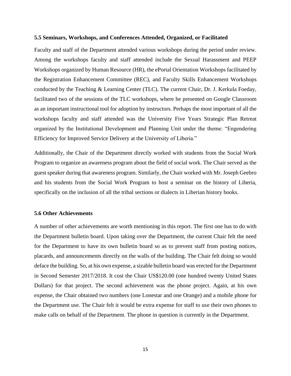#### **5.5 Seminars, Workshops, and Conferences Attended, Organized, or Facilitated**

Faculty and staff of the Department attended various workshops during the period under review. Among the workshops faculty and staff attended include the Sexual Harassment and PEEP Workshops organized by Human Resource (HR), the ePortal Orientation Workshops facilitated by the Registration Enhancement Committee (REC), and Faculty Skills Enhancement Workshops conducted by the Teaching & Learning Center (TLC). The current Chair, Dr. J. Kerkula Foeday, facilitated two of the sessions of the TLC workshops, where he presented on Google Classroom as an important instructional tool for adoption by instructors. Perhaps the most important of all the workshops faculty and staff attended was the University Five Years Strategic Plan Retreat organized by the Institutional Development and Planning Unit under the theme: "Engendering Efficiency for Improved Service Delivery at the University of Liberia."

Additionally, the Chair of the Department directly worked with students from the Social Work Program to organize an awareness program about the field of social work. The Chair served as the guest speaker during that awareness program. Similarly, the Chair worked with Mr. Joseph Geebro and his students from the Social Work Program to host a seminar on the history of Liberia, specifically on the inclusion of all the tribal sections or dialects in Liberian history books.

#### **5.6 Other Achievements**

A number of other achievements are worth mentioning in this report. The first one has to do with the Department bulletin board. Upon taking over the Department, the current Chair felt the need for the Department to have its own bulletin board so as to prevent staff from posting notices, placards, and announcements directly on the walls of the building. The Chair felt doing so would deface the building. So, at his own expense, a sizable bulletin board was erected for the Department in Second Semester 2017/2018. It cost the Chair US\$120.00 (one hundred twenty United States Dollars) for that project. The second achievement was the phone project. Again, at his own expense, the Chair obtained two numbers (one Lonestar and one Orange) and a mobile phone for the Department use. The Chair felt it would be extra expense for staff to use their own phones to make calls on behalf of the Department. The phone in question is currently in the Department.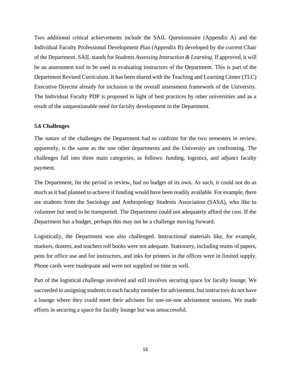Two additional critical achievements include the SAIL Questionnaire (Appendix A) and the Individual Faculty Professional Development Plan (Appendix B) developed by the current Chair of the Department. SAIL stands for *Students Assessing Instruction & Learning*. If approved, it will be an assessment tool to be used in evaluating instructors of the Department. This is part of the Department Revised Curriculum. It has been shared with the Teaching and Learning Center (TLC) Executive Director already for inclusion in the overall assessment framework of the University. The Individual Faculty PDP is proposed in light of best practices by other universities and as a result of the unquestionable need for faculty development in the Department.

#### **5.6 Challenges**

The nature of the challenges the Department had to confront for the two semesters in review, apparently, is the same as the one other departments and the University are confronting. The challenges fall into three main categories, as follows: funding, logistics, and adjunct faculty payment.

The Department, for the period in review, had no budget of its own. As such, it could not do as much as it had planned to achieve if funding would have been readily available. For example, there are students from the Sociology and Anthropology Students Association (SASA), who like to volunteer but need to be transported. The Department could not adequately afford the cost. If the Department has a budget, perhaps this may not be a challenge moving forward.

Logistically, the Department was also challenged. Instructional materials like, for example, markers, dusters, and teachers roll books were not adequate. Stationery, including reams of papers, pens for office use and for instructors, and inks for printers in the offices were in limited supply. Phone cards were inadequate and were not supplied on time as well.

Part of the logistical challenge involved and still involves securing space for faculty lounge. We succeeded in assigning students to each faculty member for advisement, but instructors do not have a lounge where they could meet their advisees for one-on-one advisement sessions. We made efforts in securing a space for faculty lounge but was unsuccessful.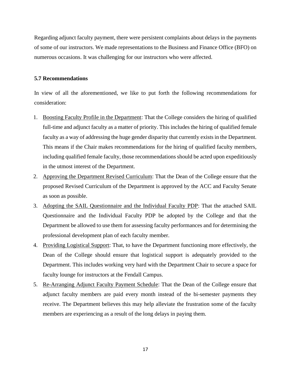Regarding adjunct faculty payment, there were persistent complaints about delays in the payments of some of our instructors. We made representations to the Business and Finance Office (BFO) on numerous occasions. It was challenging for our instructors who were affected.

#### **5.7 Recommendations**

In view of all the aforementioned, we like to put forth the following recommendations for consideration:

- 1. Boosting Faculty Profile in the Department: That the College considers the hiring of qualified full-time and adjunct faculty as a matter of priority. This includes the hiring of qualified female faculty as a way of addressing the huge gender disparity that currently exists in the Department. This means if the Chair makes recommendations for the hiring of qualified faculty members, including qualified female faculty, those recommendations should be acted upon expeditiously in the utmost interest of the Department.
- 2. Approving the Department Revised Curriculum: That the Dean of the College ensure that the proposed Revised Curriculum of the Department is approved by the ACC and Faculty Senate as soon as possible.
- 3. Adopting the SAIL Questionnaire and the Individual Faculty PDP: That the attached SAIL Questionnaire and the Individual Faculty PDP be adopted by the College and that the Department be allowed to use them for assessing faculty performances and for determining the professional development plan of each faculty member.
- 4. Providing Logistical Support: That, to have the Department functioning more effectively, the Dean of the College should ensure that logistical support is adequately provided to the Department. This includes working very hard with the Department Chair to secure a space for faculty lounge for instructors at the Fendall Campus.
- 5. Re-Arranging Adjunct Faculty Payment Schedule: That the Dean of the College ensure that adjunct faculty members are paid every month instead of the bi-semester payments they receive. The Department believes this may help alleviate the frustration some of the faculty members are experiencing as a result of the long delays in paying them.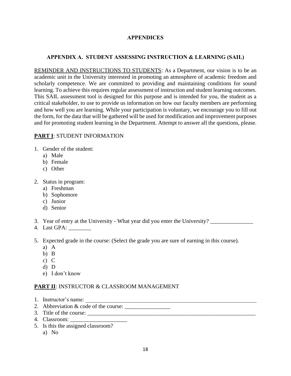# **APPENDICES**

# **APPENDIX A. STUDENT ASSESSING INSTRUCTION & LEARNING (SAIL)**

REMINDER AND INSTRUCTIONS TO STUDENTS: As a Department, our vision is to be an academic unit in the University interested in promoting an atmosphere of academic freedom and scholarly competence. We are committed to providing and maintaining conditions for sound learning. To achieve this requires regular assessment of instruction and student learning outcomes. This SAIL assessment tool is designed for this purpose and is intended for you, the student as a critical stakeholder, to use to provide us information on how our faculty members are performing and how well you are learning. While your participation is voluntary, we encourage you to fill out the form, for the data that will be gathered will be used for modification and improvement purposes and for promoting student learning in the Department. Attempt to answer all the questions, please.

# **PART I**: STUDENT INFORMATION

- 1. Gender of the student:
	- a) Male
	- b) Female
	- c) Other
- 2. Status in program:
	- a) Freshman
	- b) Sophomore
	- c) Junior
	- d) Senior
- 3. Year of entry at the University What year did you enter the University?
- 4. Last GPA: \_\_\_\_\_\_\_\_
- 5. Expected grade in the course: (Select the grade you are sure of earning in this course).
	- a) A
	- b) B
	- c) C
	- d) D
	- e) I don't know

# **PART II**: INSTRUCTOR & CLASSROOM MANAGEMENT

- 1. Instructor's name:
- 2. Abbreviation  $& code of the course:$
- 3. Title of the course:
- 4. Classroom:
- 5. Is this the assigned classroom?
	- a) No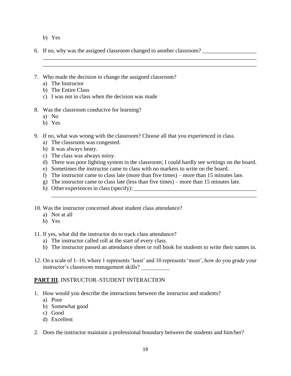- b) Yes
- 6. If no, why was the assigned classroom changed to another classroom?
- 7. Who made the decision to change the assigned classroom?
	- a) The Instructor
	- b) The Entire Class
	- c) I was not in class when the decision was made
- 8. Was the classroom conducive for learning?
	- a) No
	- b) Yes
- 9. If no, what was wrong with the classroom? Choose all that you experienced in class.
	- a) The classroom was congested.
	- b) It was always heaty.
	- c) The class was always noisy.
	- d) There was poor lighting system in the classroom; I could hardly see writings on the board.

\_\_\_\_\_\_\_\_\_\_\_\_\_\_\_\_\_\_\_\_\_\_\_\_\_\_\_\_\_\_\_\_\_\_\_\_\_\_\_\_\_\_\_\_\_\_\_\_\_\_\_\_\_\_\_\_\_\_\_\_\_\_\_\_\_\_\_\_\_\_\_\_

\_\_\_\_\_\_\_\_\_\_\_\_\_\_\_\_\_\_\_\_\_\_\_\_\_\_\_\_\_\_\_\_\_\_\_\_\_\_\_\_\_\_\_\_\_\_\_\_\_\_\_\_\_\_\_\_\_\_\_\_\_\_\_\_\_\_\_\_\_\_\_\_\_\_\_ \_\_\_\_\_\_\_\_\_\_\_\_\_\_\_\_\_\_\_\_\_\_\_\_\_\_\_\_\_\_\_\_\_\_\_\_\_\_\_\_\_\_\_\_\_\_\_\_\_\_\_\_\_\_\_\_\_\_\_\_\_\_\_\_\_\_\_\_\_\_\_\_\_\_\_

- e) Sometimes the instructor came to class with no markers to write on the board.
- f) The instructor came to class late (more than five times) more than 15 minutes late.
- g) The instructor came to class late (less than five times) more than 15 minutes late.
- h) Other experiences in class (specify):
- 10. Was the instructor concerned about student class attendance?
	- a) Not at all
	- b) Yes
- 11. If yes, what did the instructor do to track class attendance?
	- a) The instructor called roll at the start of every class.
	- b) The instructor passed an attendance sheet or roll book for students to write their names in.
- 12. On a scale of 1–10, where 1 represents 'least' and 10 represents 'most', how do you grade your instructor's classroom management skills? \_\_\_\_\_\_\_\_\_\_

#### **PART III**. INSTRUCTOR–STUDENT INTERACTION

- 1. How would you describe the interactions between the instructor and students?
	- a) Poor
	- b) Somewhat good
	- c) Good
	- d) Excellent
- 2. Does the instructor maintain a professional boundary between the students and him/her?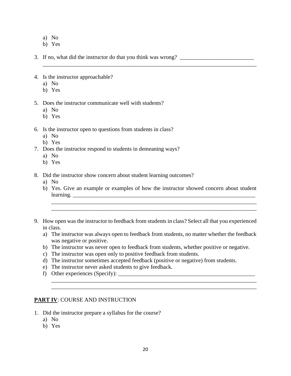- a) No
- b) Yes

3. If no, what did the instructor do that you think was wrong? \_\_\_\_\_\_\_\_\_\_\_\_\_\_\_\_\_\_\_\_\_\_\_\_\_\_

- 4. Is the instructor approachable?
	- a) No
	- b) Yes
- 5. Does the instructor communicate well with students?
	- a) No
	- b) Yes
- 6. Is the instructor open to questions from students in class?
	- a) No
	- b) Yes
- 7. Does the instructor respond to students in demeaning ways?
	- a) No
	- b) Yes
- 8. Did the instructor show concern about student learning outcomes?
	- a) No
	- b) Yes. Give an example or examples of how the instructor showed concern about student learning.

\_\_\_\_\_\_\_\_\_\_\_\_\_\_\_\_\_\_\_\_\_\_\_\_\_\_\_\_\_\_\_\_\_\_\_\_\_\_\_\_\_\_\_\_\_\_\_\_\_\_\_\_\_\_\_\_\_\_\_\_\_\_\_\_\_\_\_\_\_\_\_\_ \_\_\_\_\_\_\_\_\_\_\_\_\_\_\_\_\_\_\_\_\_\_\_\_\_\_\_\_\_\_\_\_\_\_\_\_\_\_\_\_\_\_\_\_\_\_\_\_\_\_\_\_\_\_\_\_\_\_\_\_\_\_\_\_\_\_\_\_\_\_\_\_

\_\_\_\_\_\_\_\_\_\_\_\_\_\_\_\_\_\_\_\_\_\_\_\_\_\_\_\_\_\_\_\_\_\_\_\_\_\_\_\_\_\_\_\_\_\_\_\_\_\_\_\_\_\_\_\_\_\_\_\_\_\_\_\_\_\_\_\_\_\_\_\_\_\_\_

- 9. How open was the instructor to feedback from students in class? Select all that you experienced in class.
	- a) The instructor was always open to feedback from students, no matter whether the feedback was negative or positive.

\_\_\_\_\_\_\_\_\_\_\_\_\_\_\_\_\_\_\_\_\_\_\_\_\_\_\_\_\_\_\_\_\_\_\_\_\_\_\_\_\_\_\_\_\_\_\_\_\_\_\_\_\_\_\_\_\_\_\_\_\_\_\_\_\_\_\_\_\_\_\_\_ \_\_\_\_\_\_\_\_\_\_\_\_\_\_\_\_\_\_\_\_\_\_\_\_\_\_\_\_\_\_\_\_\_\_\_\_\_\_\_\_\_\_\_\_\_\_\_\_\_\_\_\_\_\_\_\_\_\_\_\_\_\_\_\_\_\_\_\_\_\_\_\_

- b) The instructor was never open to feedback from students, whether positive or negative.
- c) The instructor was open only to positive feedback from students.
- d) The instructor sometimes accepted feedback (positive or negative) from students.
- e) The instructor never asked students to give feedback.
- f) Other experiences (Specify):  $\frac{1}{\frac{1}{2} \cdot \frac{1}{2} \cdot \frac{1}{2} \cdot \frac{1}{2} \cdot \frac{1}{2} \cdot \frac{1}{2} \cdot \frac{1}{2} \cdot \frac{1}{2} \cdot \frac{1}{2} \cdot \frac{1}{2} \cdot \frac{1}{2} \cdot \frac{1}{2} \cdot \frac{1}{2} \cdot \frac{1}{2} \cdot \frac{1}{2} \cdot \frac{1}{2} \cdot \frac{1}{2} \cdot \frac{1}{2} \cdot \frac{1}{2} \cdot \frac{1}{2} \cdot \frac{$

#### **PART IV**: COURSE AND INSTRUCTION

- 1. Did the instructor prepare a syllabus for the course?
	- a) No
	- b) Yes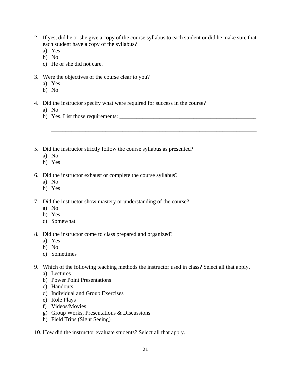2. If yes, did he or she give a copy of the course syllabus to each student or did he make sure that each student have a copy of the syllabus?

\_\_\_\_\_\_\_\_\_\_\_\_\_\_\_\_\_\_\_\_\_\_\_\_\_\_\_\_\_\_\_\_\_\_\_\_\_\_\_\_\_\_\_\_\_\_\_\_\_\_\_\_\_\_\_\_\_\_\_\_\_\_\_\_\_\_\_\_\_\_\_\_ \_\_\_\_\_\_\_\_\_\_\_\_\_\_\_\_\_\_\_\_\_\_\_\_\_\_\_\_\_\_\_\_\_\_\_\_\_\_\_\_\_\_\_\_\_\_\_\_\_\_\_\_\_\_\_\_\_\_\_\_\_\_\_\_\_\_\_\_\_\_\_\_ \_\_\_\_\_\_\_\_\_\_\_\_\_\_\_\_\_\_\_\_\_\_\_\_\_\_\_\_\_\_\_\_\_\_\_\_\_\_\_\_\_\_\_\_\_\_\_\_\_\_\_\_\_\_\_\_\_\_\_\_\_\_\_\_\_\_\_\_\_\_\_\_

- a) Yes
- b) No
- c) He or she did not care.
- 3. Were the objectives of the course clear to you?
	- a) Yes
	- b) No
- 4. Did the instructor specify what were required for success in the course?
	- a) No
	- b) Yes. List those requirements: \_\_\_\_\_\_\_\_\_\_\_\_\_\_\_\_\_\_\_\_\_\_\_\_\_\_\_\_\_\_\_\_\_\_\_\_\_\_\_\_\_\_\_\_\_\_\_\_
- 5. Did the instructor strictly follow the course syllabus as presented?
	- a) No
	- b) Yes
- 6. Did the instructor exhaust or complete the course syllabus?
	- a) No
	- b) Yes
- 7. Did the instructor show mastery or understanding of the course?
	- a) No
	- b) Yes
	- c) Somewhat
- 8. Did the instructor come to class prepared and organized?
	- a) Yes
	- b) No
	- c) Sometimes
- 9. Which of the following teaching methods the instructor used in class? Select all that apply.
	- a) Lectures
	- b) Power Point Presentations
	- c) Handouts
	- d) Individual and Group Exercises
	- e) Role Plays
	- f) Videos/Movies
	- g) Group Works, Presentations & Discussions
	- h) Field Trips (Sight Seeing)
- 10. How did the instructor evaluate students? Select all that apply.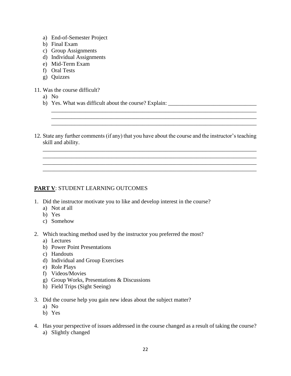- a) End-of-Semester Project
- b) Final Exam
- c) Group Assignments
- d) Individual Assignments
- e) Mid-Term Exam
- f) Oral Tests
- g) Quizzes
- 11. Was the course difficult?
	- a) No
	- b) Yes. What was difficult about the course? Explain: \_\_\_\_\_\_\_\_\_\_\_\_\_\_\_\_\_\_\_\_\_\_\_\_\_\_\_
- 12. State any further comments (if any) that you have about the course and the instructor's teaching skill and ability.

\_\_\_\_\_\_\_\_\_\_\_\_\_\_\_\_\_\_\_\_\_\_\_\_\_\_\_\_\_\_\_\_\_\_\_\_\_\_\_\_\_\_\_\_\_\_\_\_\_\_\_\_\_\_\_\_\_\_\_\_\_\_\_\_\_\_\_\_\_\_\_\_\_\_\_ \_\_\_\_\_\_\_\_\_\_\_\_\_\_\_\_\_\_\_\_\_\_\_\_\_\_\_\_\_\_\_\_\_\_\_\_\_\_\_\_\_\_\_\_\_\_\_\_\_\_\_\_\_\_\_\_\_\_\_\_\_\_\_\_\_\_\_\_\_\_\_\_\_\_\_ \_\_\_\_\_\_\_\_\_\_\_\_\_\_\_\_\_\_\_\_\_\_\_\_\_\_\_\_\_\_\_\_\_\_\_\_\_\_\_\_\_\_\_\_\_\_\_\_\_\_\_\_\_\_\_\_\_\_\_\_\_\_\_\_\_\_\_\_\_\_\_\_\_\_\_ \_\_\_\_\_\_\_\_\_\_\_\_\_\_\_\_\_\_\_\_\_\_\_\_\_\_\_\_\_\_\_\_\_\_\_\_\_\_\_\_\_\_\_\_\_\_\_\_\_\_\_\_\_\_\_\_\_\_\_\_\_\_\_\_\_\_\_\_\_\_\_\_\_\_\_

\_\_\_\_\_\_\_\_\_\_\_\_\_\_\_\_\_\_\_\_\_\_\_\_\_\_\_\_\_\_\_\_\_\_\_\_\_\_\_\_\_\_\_\_\_\_\_\_\_\_\_\_\_\_\_\_\_\_\_\_\_\_\_\_\_\_\_\_\_\_\_\_ \_\_\_\_\_\_\_\_\_\_\_\_\_\_\_\_\_\_\_\_\_\_\_\_\_\_\_\_\_\_\_\_\_\_\_\_\_\_\_\_\_\_\_\_\_\_\_\_\_\_\_\_\_\_\_\_\_\_\_\_\_\_\_\_\_\_\_\_\_\_\_\_ \_\_\_\_\_\_\_\_\_\_\_\_\_\_\_\_\_\_\_\_\_\_\_\_\_\_\_\_\_\_\_\_\_\_\_\_\_\_\_\_\_\_\_\_\_\_\_\_\_\_\_\_\_\_\_\_\_\_\_\_\_\_\_\_\_\_\_\_\_\_\_\_

## **PART V**: STUDENT LEARNING OUTCOMES

- 1. Did the instructor motivate you to like and develop interest in the course?
	- a) Not at all
	- b) Yes
	- c) Somehow
- 2. Which teaching method used by the instructor you preferred the most?
	- a) Lectures
	- b) Power Point Presentations
	- c) Handouts
	- d) Individual and Group Exercises
	- e) Role Plays
	- f) Videos/Movies
	- g) Group Works, Presentations & Discussions
	- h) Field Trips (Sight Seeing)
- 3. Did the course help you gain new ideas about the subject matter?
	- a) No
	- b) Yes
- 4. Has your perspective of issues addressed in the course changed as a result of taking the course? a) Slightly changed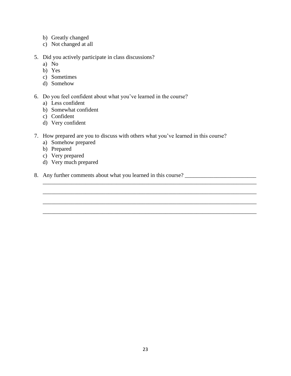- b) Greatly changed
- c) Not changed at all
- 5. Did you actively participate in class discussions?
	- a) No
	- b) Yes
	- c) Sometimes
	- d) Somehow
- 6. Do you feel confident about what you've learned in the course?
	- a) Less confident
	- b) Somewhat confident
	- c) Confident
	- d) Very confident
- 7. How prepared are you to discuss with others what you've learned in this course?

\_\_\_\_\_\_\_\_\_\_\_\_\_\_\_\_\_\_\_\_\_\_\_\_\_\_\_\_\_\_\_\_\_\_\_\_\_\_\_\_\_\_\_\_\_\_\_\_\_\_\_\_\_\_\_\_\_\_\_\_\_\_\_\_\_\_\_\_\_\_\_\_\_\_\_

\_\_\_\_\_\_\_\_\_\_\_\_\_\_\_\_\_\_\_\_\_\_\_\_\_\_\_\_\_\_\_\_\_\_\_\_\_\_\_\_\_\_\_\_\_\_\_\_\_\_\_\_\_\_\_\_\_\_\_\_\_\_\_\_\_\_\_\_\_\_\_\_\_\_\_

\_\_\_\_\_\_\_\_\_\_\_\_\_\_\_\_\_\_\_\_\_\_\_\_\_\_\_\_\_\_\_\_\_\_\_\_\_\_\_\_\_\_\_\_\_\_\_\_\_\_\_\_\_\_\_\_\_\_\_\_\_\_\_\_\_\_\_\_\_\_\_\_\_\_\_

- a) Somehow prepared
- b) Prepared
- c) Very prepared
- d) Very much prepared
- 8. Any further comments about what you learned in this course? \_\_\_\_\_\_\_\_\_\_\_\_\_\_\_\_\_\_\_\_\_\_\_\_\_